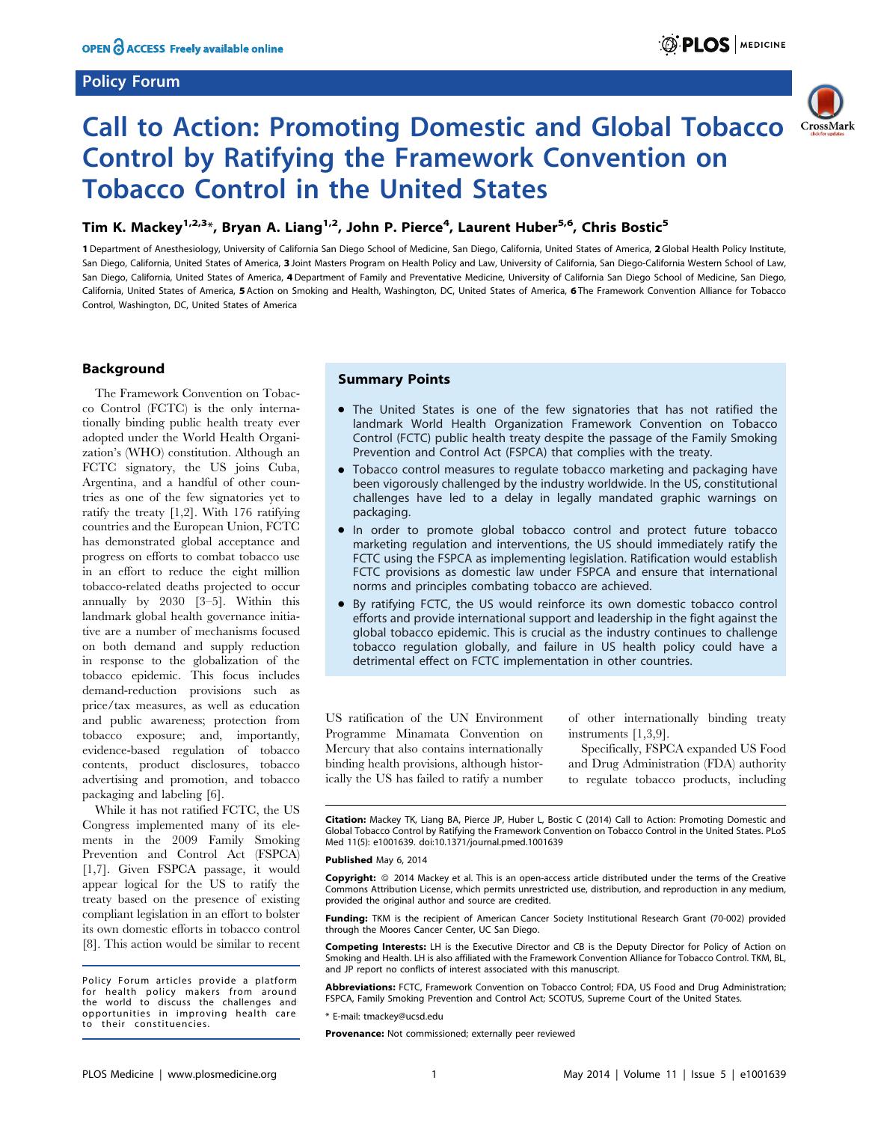#### Policy Forum



# Call to Action: Promoting Domestic and Global Tobacco Control by Ratifying the Framework Convention on Tobacco Control in the United States

## Tim K. Mackey<sup>1,2,3</sup>\*, Bryan A. Liang<sup>1,2</sup>, John P. Pierce<sup>4</sup>, Laurent Huber<sup>5,6</sup>, Chris Bostic<sup>5</sup>

1 Department of Anesthesiology, University of California San Diego School of Medicine, San Diego, California, United States of America, 2 Global Health Policy Institute, San Diego, California, United States of America, 3 Joint Masters Program on Health Policy and Law, University of California, San Diego-California Western School of Law, San Diego, California, United States of America, 4 Department of Family and Preventative Medicine, University of California San Diego School of Medicine, San Diego, California, United States of America, 5 Action on Smoking and Health, Washington, DC, United States of America, 6 The Framework Convention Alliance for Tobacco Control, Washington, DC, United States of America

#### Background

The Framework Convention on Tobacco Control (FCTC) is the only internationally binding public health treaty ever adopted under the World Health Organization's (WHO) constitution. Although an FCTC signatory, the US joins Cuba, Argentina, and a handful of other countries as one of the few signatories yet to ratify the treaty [1,2]. With 176 ratifying countries and the European Union, FCTC has demonstrated global acceptance and progress on efforts to combat tobacco use in an effort to reduce the eight million tobacco-related deaths projected to occur annually by 2030 [3–5]. Within this landmark global health governance initiative are a number of mechanisms focused on both demand and supply reduction in response to the globalization of the tobacco epidemic. This focus includes demand-reduction provisions such as price/tax measures, as well as education and public awareness; protection from tobacco exposure; and, importantly, evidence-based regulation of tobacco contents, product disclosures, tobacco advertising and promotion, and tobacco packaging and labeling [6].

While it has not ratified FCTC, the US Congress implemented many of its elements in the 2009 Family Smoking Prevention and Control Act (FSPCA) [1,7]. Given FSPCA passage, it would appear logical for the US to ratify the treaty based on the presence of existing compliant legislation in an effort to bolster its own domestic efforts in tobacco control [8]. This action would be similar to recent

#### Summary Points

- The United States is one of the few signatories that has not ratified the landmark World Health Organization Framework Convention on Tobacco Control (FCTC) public health treaty despite the passage of the Family Smoking Prevention and Control Act (FSPCA) that complies with the treaty.
- Tobacco control measures to regulate tobacco marketing and packaging have been vigorously challenged by the industry worldwide. In the US, constitutional challenges have led to a delay in legally mandated graphic warnings on packaging.
- In order to promote global tobacco control and protect future tobacco marketing regulation and interventions, the US should immediately ratify the FCTC using the FSPCA as implementing legislation. Ratification would establish FCTC provisions as domestic law under FSPCA and ensure that international norms and principles combating tobacco are achieved.
- By ratifying FCTC, the US would reinforce its own domestic tobacco control efforts and provide international support and leadership in the fight against the global tobacco epidemic. This is crucial as the industry continues to challenge tobacco regulation globally, and failure in US health policy could have a detrimental effect on FCTC implementation in other countries.

US ratification of the UN Environment Programme Minamata Convention on Mercury that also contains internationally binding health provisions, although historically the US has failed to ratify a number of other internationally binding treaty instruments [1,3,9].

Specifically, FSPCA expanded US Food and Drug Administration (FDA) authority to regulate tobacco products, including

Citation: Mackey TK, Liang BA, Pierce JP, Huber L, Bostic C (2014) Call to Action: Promoting Domestic and Global Tobacco Control by Ratifying the Framework Convention on Tobacco Control in the United States. PLoS Med 11(5): e1001639. doi:10.1371/journal.pmed.1001639

#### Published May 6, 2014

Copyright: © 2014 Mackey et al. This is an open-access article distributed under the terms of the [Creative](http://creativecommons.org/licenses/by/4.0/) [Commons Attribution License,](http://creativecommons.org/licenses/by/4.0/) which permits unrestricted use, distribution, and reproduction in any medium, provided the original author and source are credited.

Funding: TKM is the recipient of American Cancer Society Institutional Research Grant (70-002) provided through the Moores Cancer Center, UC San Diego.

Competing Interests: LH is the Executive Director and CB is the Deputy Director for Policy of Action on Smoking and Health. LH is also affiliated with the Framework Convention Alliance for Tobacco Control. TKM, BL, and JP report no conflicts of interest associated with this manuscript.

Abbreviations: FCTC, Framework Convention on Tobacco Control; FDA, US Food and Drug Administration; FSPCA, Family Smoking Prevention and Control Act; SCOTUS, Supreme Court of the United States.

\* E-mail: tmackey@ucsd.edu

Provenance: Not commissioned; externally peer reviewed

Policy Forum articles provide a platform for health policy makers from around the world to discuss the challenges and opportunities in improving health care to their constituencies.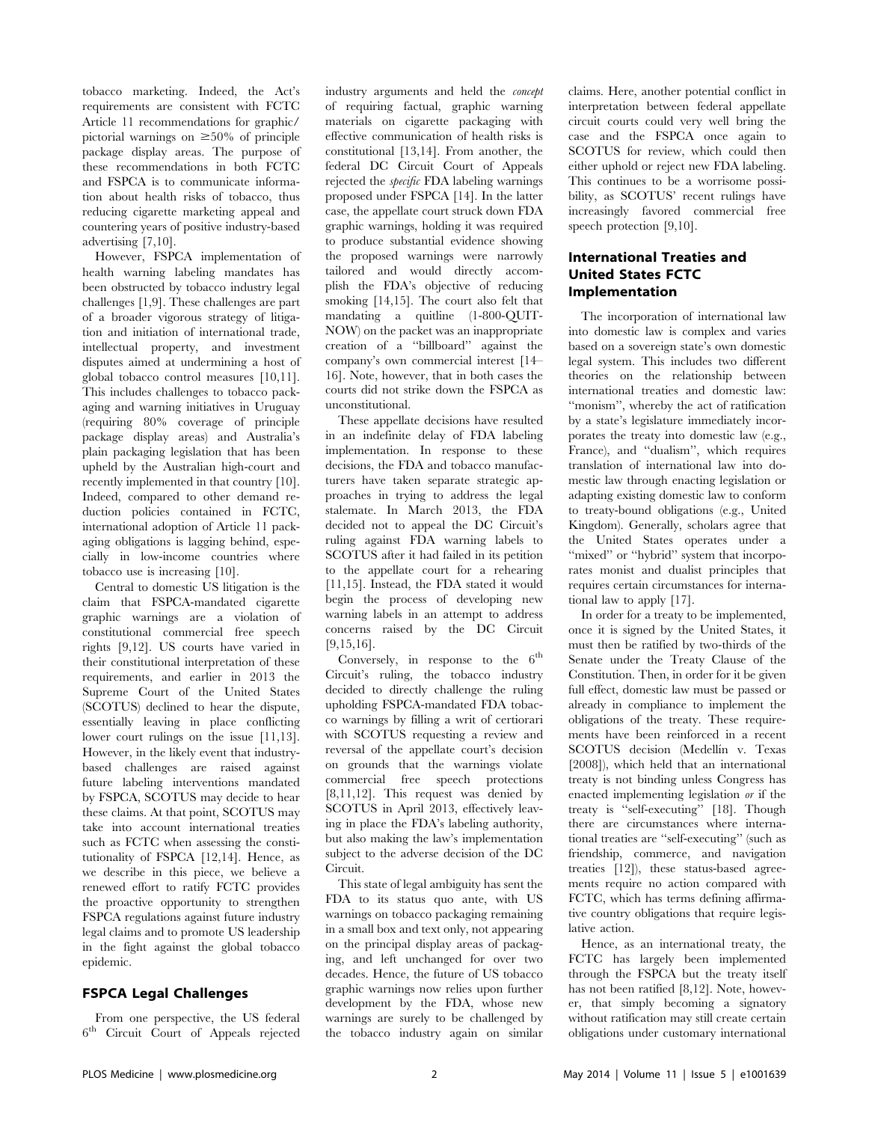tobacco marketing. Indeed, the Act's requirements are consistent with FCTC Article 11 recommendations for graphic/ pictorial warnings on  $\geq 50\%$  of principle package display areas. The purpose of these recommendations in both FCTC and FSPCA is to communicate information about health risks of tobacco, thus reducing cigarette marketing appeal and countering years of positive industry-based advertising [7,10].

However, FSPCA implementation of health warning labeling mandates has been obstructed by tobacco industry legal challenges [1,9]. These challenges are part of a broader vigorous strategy of litigation and initiation of international trade, intellectual property, and investment disputes aimed at undermining a host of global tobacco control measures [10,11]. This includes challenges to tobacco packaging and warning initiatives in Uruguay (requiring 80% coverage of principle package display areas) and Australia's plain packaging legislation that has been upheld by the Australian high-court and recently implemented in that country [10]. Indeed, compared to other demand reduction policies contained in FCTC, international adoption of Article 11 packaging obligations is lagging behind, especially in low-income countries where tobacco use is increasing [10].

Central to domestic US litigation is the claim that FSPCA-mandated cigarette graphic warnings are a violation of constitutional commercial free speech rights [9,12]. US courts have varied in their constitutional interpretation of these requirements, and earlier in 2013 the Supreme Court of the United States (SCOTUS) declined to hear the dispute, essentially leaving in place conflicting lower court rulings on the issue [11,13]. However, in the likely event that industrybased challenges are raised against future labeling interventions mandated by FSPCA, SCOTUS may decide to hear these claims. At that point, SCOTUS may take into account international treaties such as FCTC when assessing the constitutionality of FSPCA [12,14]. Hence, as we describe in this piece, we believe a renewed effort to ratify FCTC provides the proactive opportunity to strengthen FSPCA regulations against future industry legal claims and to promote US leadership in the fight against the global tobacco epidemic.

#### FSPCA Legal Challenges

From one perspective, the US federal 6<sup>th</sup> Circuit Court of Appeals rejected industry arguments and held the concept of requiring factual, graphic warning materials on cigarette packaging with effective communication of health risks is constitutional [13,14]. From another, the federal DC Circuit Court of Appeals rejected the specific FDA labeling warnings proposed under FSPCA [14]. In the latter case, the appellate court struck down FDA graphic warnings, holding it was required to produce substantial evidence showing the proposed warnings were narrowly tailored and would directly accomplish the FDA's objective of reducing smoking [14,15]. The court also felt that mandating a quitline (1-800-QUIT-NOW) on the packet was an inappropriate creation of a ''billboard'' against the company's own commercial interest [14– 16]. Note, however, that in both cases the courts did not strike down the FSPCA as unconstitutional.

These appellate decisions have resulted in an indefinite delay of FDA labeling implementation. In response to these decisions, the FDA and tobacco manufacturers have taken separate strategic approaches in trying to address the legal stalemate. In March 2013, the FDA decided not to appeal the DC Circuit's ruling against FDA warning labels to SCOTUS after it had failed in its petition to the appellate court for a rehearing [11,15]. Instead, the FDA stated it would begin the process of developing new warning labels in an attempt to address concerns raised by the DC Circuit [9,15,16].

Conversely, in response to the  $6<sup>th</sup>$ Circuit's ruling, the tobacco industry decided to directly challenge the ruling upholding FSPCA-mandated FDA tobacco warnings by filling a writ of certiorari with SCOTUS requesting a review and reversal of the appellate court's decision on grounds that the warnings violate commercial free speech protections [8,11,12]. This request was denied by SCOTUS in April 2013, effectively leaving in place the FDA's labeling authority, but also making the law's implementation subject to the adverse decision of the DC Circuit.

This state of legal ambiguity has sent the FDA to its status quo ante, with US warnings on tobacco packaging remaining in a small box and text only, not appearing on the principal display areas of packaging, and left unchanged for over two decades. Hence, the future of US tobacco graphic warnings now relies upon further development by the FDA, whose new warnings are surely to be challenged by the tobacco industry again on similar claims. Here, another potential conflict in interpretation between federal appellate circuit courts could very well bring the case and the FSPCA once again to SCOTUS for review, which could then either uphold or reject new FDA labeling. This continues to be a worrisome possibility, as SCOTUS' recent rulings have increasingly favored commercial free speech protection [9,10].

#### International Treaties and United States FCTC Implementation

The incorporation of international law into domestic law is complex and varies based on a sovereign state's own domestic legal system. This includes two different theories on the relationship between international treaties and domestic law: ''monism'', whereby the act of ratification by a state's legislature immediately incorporates the treaty into domestic law (e.g., France), and ''dualism'', which requires translation of international law into domestic law through enacting legislation or adapting existing domestic law to conform to treaty-bound obligations (e.g., United Kingdom). Generally, scholars agree that the United States operates under a "mixed" or "hybrid" system that incorporates monist and dualist principles that requires certain circumstances for international law to apply [17].

In order for a treaty to be implemented, once it is signed by the United States, it must then be ratified by two-thirds of the Senate under the Treaty Clause of the Constitution. Then, in order for it be given full effect, domestic law must be passed or already in compliance to implement the obligations of the treaty. These requirements have been reinforced in a recent SCOTUS decision (Medellín v. Texas [2008]), which held that an international treaty is not binding unless Congress has enacted implementing legislation or if the treaty is ''self-executing'' [18]. Though there are circumstances where international treaties are ''self-executing'' (such as friendship, commerce, and navigation treaties [12]), these status-based agreements require no action compared with FCTC, which has terms defining affirmative country obligations that require legislative action.

Hence, as an international treaty, the FCTC has largely been implemented through the FSPCA but the treaty itself has not been ratified [8,12]. Note, however, that simply becoming a signatory without ratification may still create certain obligations under customary international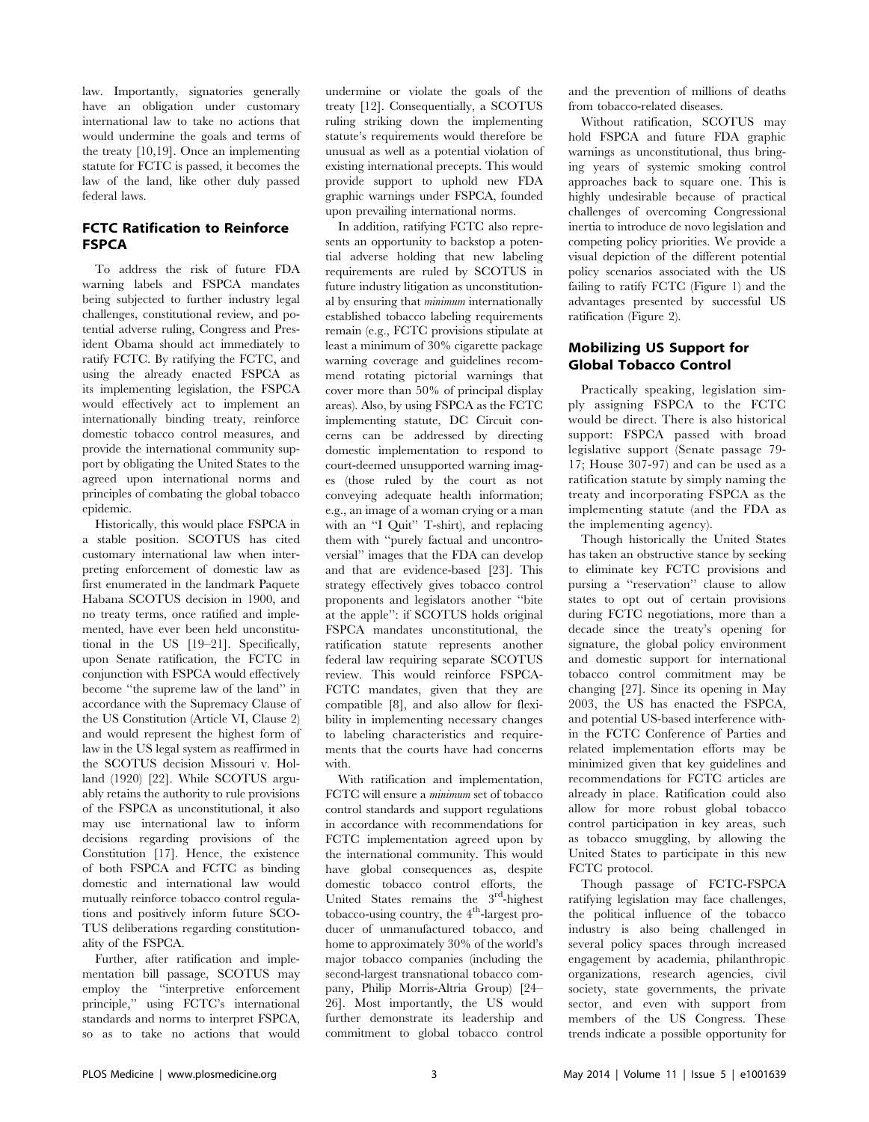law. Importantly, signatories generally have an obligation under customary international law to take no actions that would undermine the goals and terms of the treaty [10,19]. Once an implementing statute for FCTC is passed, it becomes the law of the land, like other duly passed federal laws.

#### FCTC Ratification to Reinforce FSPCA

To address the risk of future FDA warning labels and FSPCA mandates being subjected to further industry legal challenges, constitutional review, and potential adverse ruling, Congress and President Obama should act immediately to ratify FCTC. By ratifying the FCTC, and using the already enacted FSPCA as its implementing legislation, the FSPCA would effectively act to implement an internationally binding treaty, reinforce domestic tobacco control measures, and provide the international community support by obligating the United States to the agreed upon international norms and principles of combating the global tobacco epidemic.

Historically, this would place FSPCA in a stable position. SCOTUS has cited customary international law when interpreting enforcement of domestic law as first enumerated in the landmark Paquete Habana SCOTUS decision in 1900, and no treaty terms, once ratified and implemented, have ever been held unconstitutional in the US [19–21]. Specifically, upon Senate ratification, the FCTC in conjunction with FSPCA would effectively become ''the supreme law of the land'' in accordance with the Supremacy Clause of the US Constitution (Article VI, Clause 2) and would represent the highest form of law in the US legal system as reaffirmed in the SCOTUS decision Missouri v. Holland (1920) [22]. While SCOTUS arguably retains the authority to rule provisions of the FSPCA as unconstitutional, it also may use international law to inform decisions regarding provisions of the Constitution [17]. Hence, the existence of both FSPCA and FCTC as binding domestic and international law would mutually reinforce tobacco control regulations and positively inform future SCO-TUS deliberations regarding constitutionality of the FSPCA.

Further, after ratification and implementation bill passage, SCOTUS may employ the ''interpretive enforcement principle,'' using FCTC's international standards and norms to interpret FSPCA, so as to take no actions that would undermine or violate the goals of the treaty [12]. Consequentially, a SCOTUS ruling striking down the implementing statute's requirements would therefore be unusual as well as a potential violation of existing international precepts. This would provide support to uphold new FDA graphic warnings under FSPCA, founded upon prevailing international norms.

In addition, ratifying FCTC also represents an opportunity to backstop a potential adverse holding that new labeling requirements are ruled by SCOTUS in future industry litigation as unconstitutional by ensuring that minimum internationally established tobacco labeling requirements remain (e.g., FCTC provisions stipulate at least a minimum of 30% cigarette package warning coverage and guidelines recommend rotating pictorial warnings that cover more than 50% of principal display areas). Also, by using FSPCA as the FCTC implementing statute, DC Circuit concerns can be addressed by directing domestic implementation to respond to court-deemed unsupported warning images (those ruled by the court as not conveying adequate health information; e.g., an image of a woman crying or a man with an "I Quit" T-shirt), and replacing them with ''purely factual and uncontroversial'' images that the FDA can develop and that are evidence-based [23]. This strategy effectively gives tobacco control proponents and legislators another ''bite at the apple'': if SCOTUS holds original FSPCA mandates unconstitutional, the ratification statute represents another federal law requiring separate SCOTUS review. This would reinforce FSPCA-FCTC mandates, given that they are compatible [8], and also allow for flexibility in implementing necessary changes to labeling characteristics and requirements that the courts have had concerns with.

With ratification and implementation, FCTC will ensure a minimum set of tobacco control standards and support regulations in accordance with recommendations for FCTC implementation agreed upon by the international community. This would have global consequences as, despite domestic tobacco control efforts, the United States remains the 3<sup>rd</sup>-highest tobacco-using country, the  $4<sup>th</sup>$ -largest producer of unmanufactured tobacco, and home to approximately 30% of the world's major tobacco companies (including the second-largest transnational tobacco company, Philip Morris-Altria Group) [24– 26]. Most importantly, the US would further demonstrate its leadership and commitment to global tobacco control

and the prevention of millions of deaths from tobacco-related diseases.

Without ratification, SCOTUS may hold FSPCA and future FDA graphic warnings as unconstitutional, thus bringing years of systemic smoking control approaches back to square one. This is highly undesirable because of practical challenges of overcoming Congressional inertia to introduce de novo legislation and competing policy priorities. We provide a visual depiction of the different potential policy scenarios associated with the US failing to ratify FCTC (Figure 1) and the advantages presented by successful US ratification (Figure 2).

## Mobilizing US Support for Global Tobacco Control

Practically speaking, legislation simply assigning FSPCA to the FCTC would be direct. There is also historical support: FSPCA passed with broad legislative support (Senate passage 79- 17; House 307-97) and can be used as a ratification statute by simply naming the treaty and incorporating FSPCA as the implementing statute (and the FDA as the implementing agency).

Though historically the United States has taken an obstructive stance by seeking to eliminate key FCTC provisions and pursing a ''reservation'' clause to allow states to opt out of certain provisions during FCTC negotiations, more than a decade since the treaty's opening for signature, the global policy environment and domestic support for international tobacco control commitment may be changing [27]. Since its opening in May 2003, the US has enacted the FSPCA, and potential US-based interference within the FCTC Conference of Parties and related implementation efforts may be minimized given that key guidelines and recommendations for FCTC articles are already in place. Ratification could also allow for more robust global tobacco control participation in key areas, such as tobacco smuggling, by allowing the United States to participate in this new FCTC protocol.

Though passage of FCTC-FSPCA ratifying legislation may face challenges, the political influence of the tobacco industry is also being challenged in several policy spaces through increased engagement by academia, philanthropic organizations, research agencies, civil society, state governments, the private sector, and even with support from members of the US Congress. These trends indicate a possible opportunity for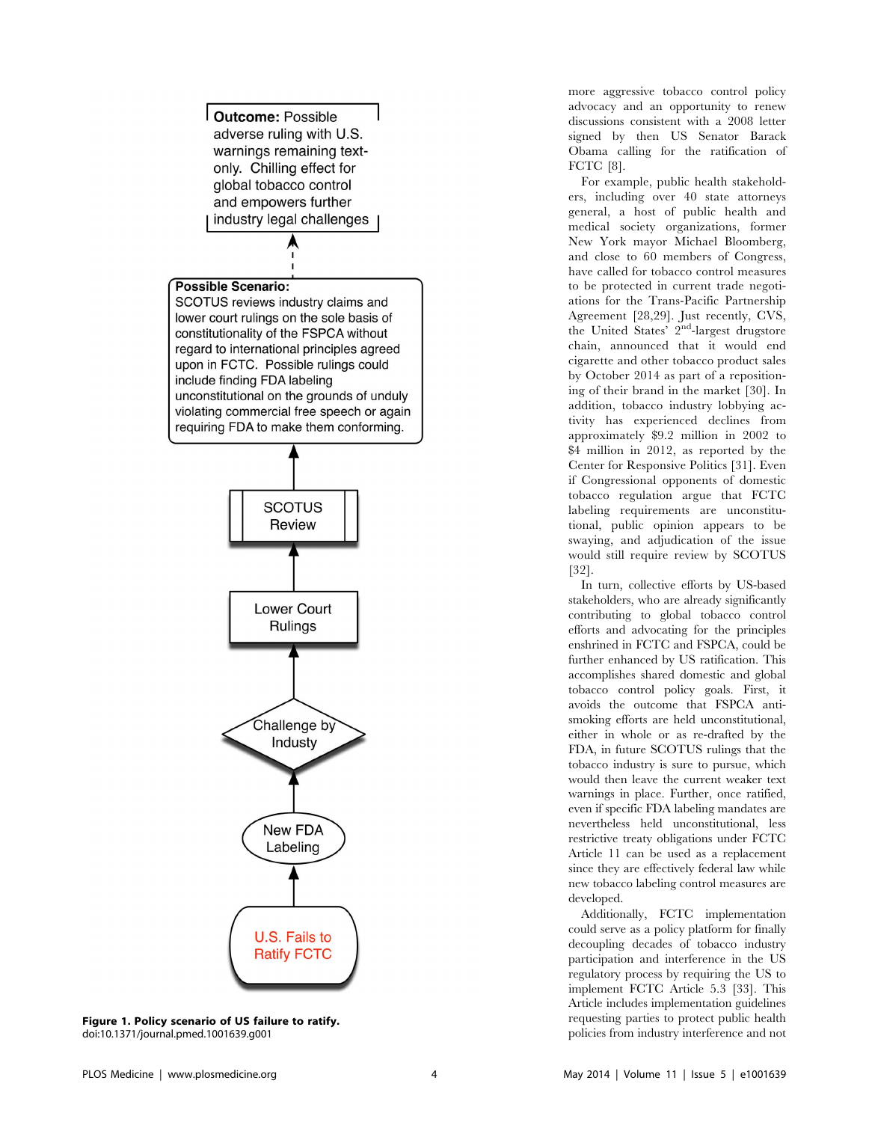

Figure 1. Policy scenario of US failure to ratify. doi:10.1371/journal.pmed.1001639.g001

more aggressive tobacco control policy advocacy and an opportunity to renew discussions consistent with a 2008 letter signed by then US Senator Barack Obama calling for the ratification of FCTC [8].

For example, public health stakeholders, including over 40 state attorneys general, a host of public health and medical society organizations, former New York mayor Michael Bloomberg, and close to 60 members of Congress, have called for tobacco control measures to be protected in current trade negotiations for the Trans-Pacific Partnership Agreement [28,29]. Just recently, CVS, the United States' 2nd-largest drugstore chain, announced that it would end cigarette and other tobacco product sales by October 2014 as part of a repositioning of their brand in the market [30]. In addition, tobacco industry lobbying activity has experienced declines from approximately \$9.2 million in 2002 to \$4 million in 2012, as reported by the Center for Responsive Politics [31]. Even if Congressional opponents of domestic tobacco regulation argue that FCTC labeling requirements are unconstitutional, public opinion appears to be swaying, and adjudication of the issue would still require review by SCOTUS [32].

In turn, collective efforts by US-based stakeholders, who are already significantly contributing to global tobacco control efforts and advocating for the principles enshrined in FCTC and FSPCA, could be further enhanced by US ratification. This accomplishes shared domestic and global tobacco control policy goals. First, it avoids the outcome that FSPCA antismoking efforts are held unconstitutional, either in whole or as re-drafted by the FDA, in future SCOTUS rulings that the tobacco industry is sure to pursue, which would then leave the current weaker text warnings in place. Further, once ratified, even if specific FDA labeling mandates are nevertheless held unconstitutional, less restrictive treaty obligations under FCTC Article 11 can be used as a replacement since they are effectively federal law while new tobacco labeling control measures are developed.

Additionally, FCTC implementation could serve as a policy platform for finally decoupling decades of tobacco industry participation and interference in the US regulatory process by requiring the US to implement FCTC Article 5.3 [33]. This Article includes implementation guidelines requesting parties to protect public health policies from industry interference and not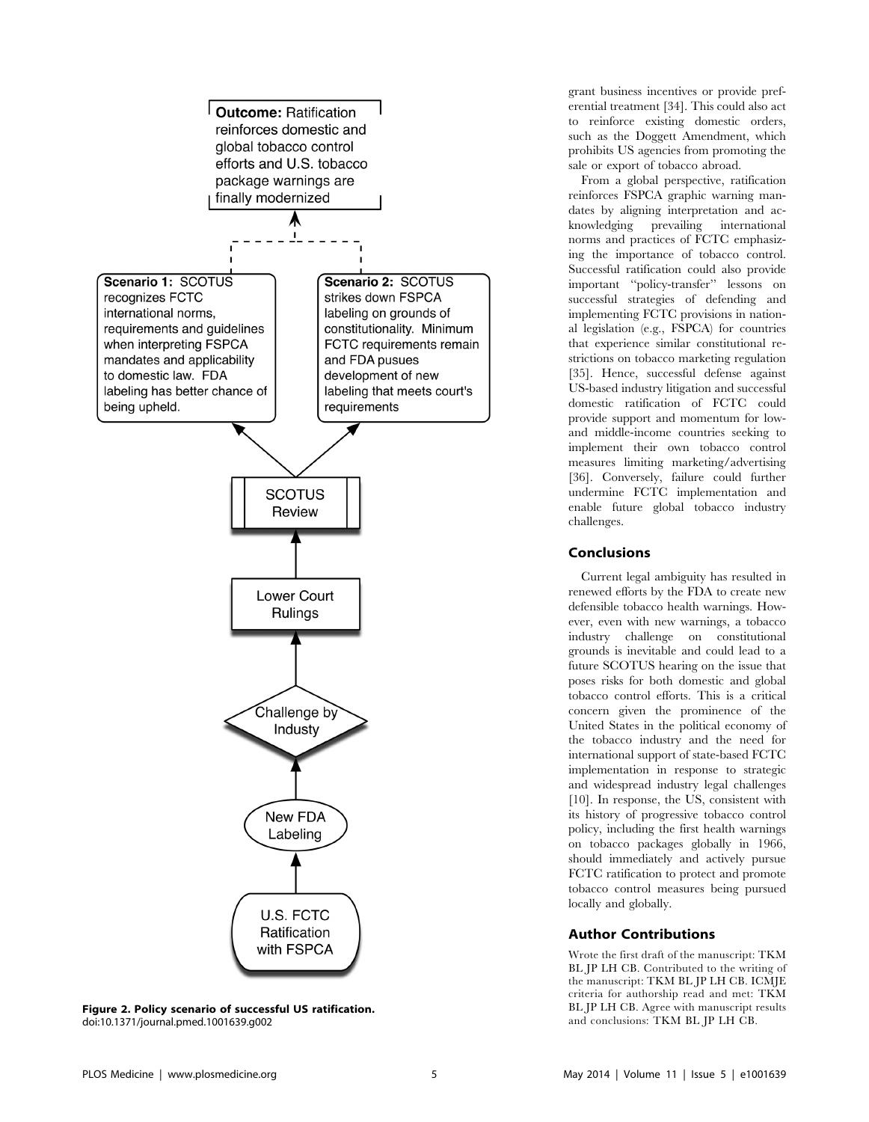

Figure 2. Policy scenario of successful US ratification. doi:10.1371/journal.pmed.1001639.g002

grant business incentives or provide preferential treatment [34]. This could also act to reinforce existing domestic orders, such as the Doggett Amendment, which prohibits US agencies from promoting the sale or export of tobacco abroad.

From a global perspective, ratification reinforces FSPCA graphic warning mandates by aligning interpretation and acknowledging prevailing international norms and practices of FCTC emphasizing the importance of tobacco control. Successful ratification could also provide important ''policy-transfer'' lessons on successful strategies of defending and implementing FCTC provisions in national legislation (e.g., FSPCA) for countries that experience similar constitutional restrictions on tobacco marketing regulation [35]. Hence, successful defense against US-based industry litigation and successful domestic ratification of FCTC could provide support and momentum for lowand middle-income countries seeking to implement their own tobacco control measures limiting marketing/advertising [36]. Conversely, failure could further undermine FCTC implementation and enable future global tobacco industry challenges.

#### Conclusions

Current legal ambiguity has resulted in renewed efforts by the FDA to create new defensible tobacco health warnings. However, even with new warnings, a tobacco industry challenge on constitutional grounds is inevitable and could lead to a future SCOTUS hearing on the issue that poses risks for both domestic and global tobacco control efforts. This is a critical concern given the prominence of the United States in the political economy of the tobacco industry and the need for international support of state-based FCTC implementation in response to strategic and widespread industry legal challenges [10]. In response, the US, consistent with its history of progressive tobacco control policy, including the first health warnings on tobacco packages globally in 1966, should immediately and actively pursue FCTC ratification to protect and promote tobacco control measures being pursued locally and globally.

## Author Contributions

Wrote the first draft of the manuscript: TKM BL JP LH CB. Contributed to the writing of the manuscript: TKM BL JP LH CB. [ICMJE](http://www.icmje.org/) criteria for authorship read and met: TKM BL JP LH CB. Agree with manuscript results and conclusions: TKM BL JP LH CB.